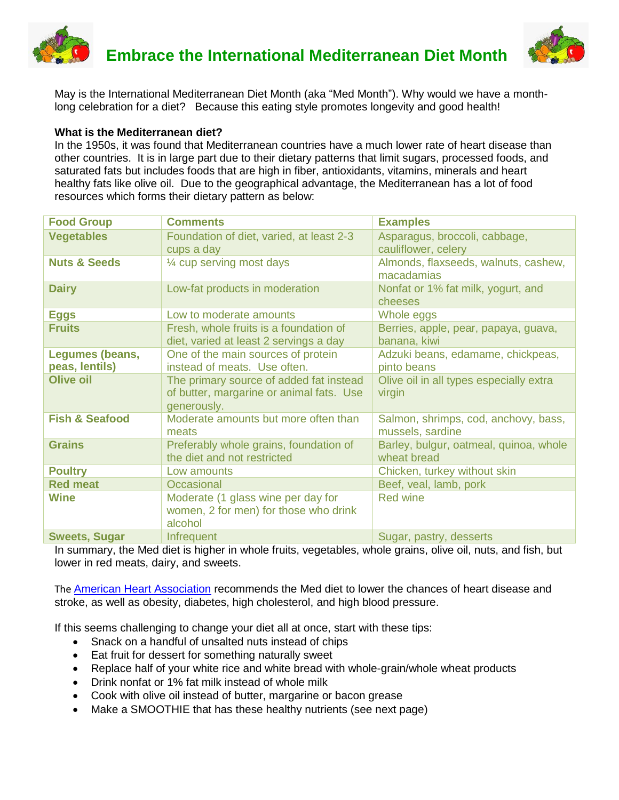



May is the International Mediterranean Diet Month (aka "Med Month"). Why would we have a monthlong celebration for a diet? Because this eating style promotes longevity and good health!

### **What is the Mediterranean diet?**

In the 1950s, it was found that Mediterranean countries have a much lower rate of heart disease than other countries. It is in large part due to their dietary patterns that limit sugars, processed foods, and saturated fats but includes foods that are high in fiber, antioxidants, vitamins, minerals and heart healthy fats like olive oil. Due to the geographical advantage, the Mediterranean has a lot of food resources which forms their dietary pattern as below:

| <b>Food Group</b>                 | <b>Comments</b>                                                                                    | <b>Examples</b>                                          |
|-----------------------------------|----------------------------------------------------------------------------------------------------|----------------------------------------------------------|
| <b>Vegetables</b>                 | Foundation of diet, varied, at least 2-3<br>cups a day                                             | Asparagus, broccoli, cabbage,<br>cauliflower, celery     |
| <b>Nuts &amp; Seeds</b>           | 1/4 cup serving most days                                                                          | Almonds, flaxseeds, walnuts, cashew,<br>macadamias       |
| <b>Dairy</b>                      | Low-fat products in moderation                                                                     | Nonfat or 1% fat milk, yogurt, and<br>cheeses            |
| <b>Eggs</b>                       | Low to moderate amounts                                                                            | Whole eggs                                               |
| <b>Fruits</b>                     | Fresh, whole fruits is a foundation of<br>diet, varied at least 2 servings a day                   | Berries, apple, pear, papaya, guava,<br>banana, kiwi     |
| Legumes (beans,<br>peas, lentils) | One of the main sources of protein<br>instead of meats. Use often.                                 | Adzuki beans, edamame, chickpeas,<br>pinto beans         |
| <b>Olive oil</b>                  | The primary source of added fat instead<br>of butter, margarine or animal fats. Use<br>generously. | Olive oil in all types especially extra<br>virgin        |
| <b>Fish &amp; Seafood</b>         | Moderate amounts but more often than<br>meats                                                      | Salmon, shrimps, cod, anchovy, bass,<br>mussels, sardine |
| <b>Grains</b>                     | Preferably whole grains, foundation of<br>the diet and not restricted                              | Barley, bulgur, oatmeal, quinoa, whole<br>wheat bread    |
| <b>Poultry</b>                    | Low amounts                                                                                        | Chicken, turkey without skin                             |
| <b>Red meat</b>                   | Occasional                                                                                         | Beef, veal, lamb, pork                                   |
| <b>Wine</b>                       | Moderate (1 glass wine per day for<br>women, 2 for men) for those who drink<br>alcohol             | Red wine                                                 |
| <b>Sweets, Sugar</b>              | Infrequent                                                                                         | Sugar, pastry, desserts                                  |

In summary, the Med diet is higher in whole fruits, vegetables, whole grains, olive oil, nuts, and fish, but lower in red meats, dairy, and sweets.

The [American Heart Association](https://www.heart.org/en/healthy-living/healthy-eating/eat-smart/nutrition-basics/mediterranean-diet) recommends the Med diet to lower the chances of heart disease and stroke, as well as obesity, diabetes, high cholesterol, and high blood pressure.

If this seems challenging to change your diet all at once, start with these tips:

- Snack on a handful of unsalted nuts instead of chips
- Eat fruit for dessert for something naturally sweet
- Replace half of your white rice and white bread with whole-grain/whole wheat products
- Drink nonfat or 1% fat milk instead of whole milk
- Cook with olive oil instead of butter, margarine or bacon grease
- Make a SMOOTHIE that has these healthy nutrients (see next page)